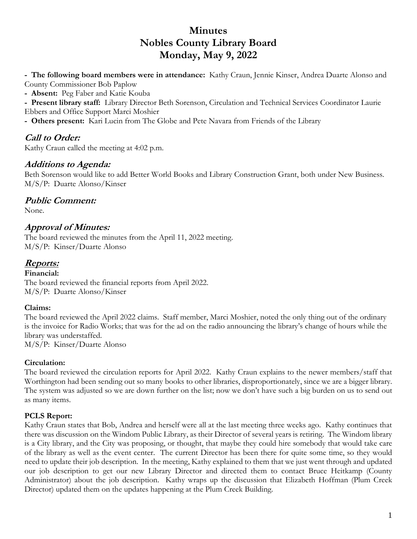# **Minutes Nobles County Library Board Monday, May 9, 2022**

**- The following board members were in attendance:** Kathy Craun, Jennie Kinser, Andrea Duarte Alonso and County Commissioner Bob Paplow

**- Absent:** Peg Faber and Katie Kouba

**- Present library staff:** Library Director Beth Sorenson, Circulation and Technical Services Coordinator Laurie

Ebbers and Office Support Marci Moshier

**- Others present:** Kari Lucin from The Globe and Pete Navara from Friends of the Library

## **Call to Order:**

Kathy Craun called the meeting at 4:02 p.m.

### **Additions to Agenda:**

Beth Sorenson would like to add Better World Books and Library Construction Grant, both under New Business. M/S/P: Duarte Alonso/Kinser

### **Public Comment:**

None.

### **Approval of Minutes:**

The board reviewed the minutes from the April 11, 2022 meeting. M/S/P: Kinser/Duarte Alonso

### **Reports:**

**Financial:**  The board reviewed the financial reports from April 2022. M/S/P: Duarte Alonso/Kinser

#### **Claims:**

The board reviewed the April 2022 claims. Staff member, Marci Moshier, noted the only thing out of the ordinary is the invoice for Radio Works; that was for the ad on the radio announcing the library's change of hours while the library was understaffed.

M/S/P: Kinser/Duarte Alonso

#### **Circulation:**

The board reviewed the circulation reports for April 2022. Kathy Craun explains to the newer members/staff that Worthington had been sending out so many books to other libraries, disproportionately, since we are a bigger library. The system was adjusted so we are down further on the list; now we don't have such a big burden on us to send out as many items.

#### **PCLS Report:**

Kathy Craun states that Bob, Andrea and herself were all at the last meeting three weeks ago. Kathy continues that there was discussion on the Windom Public Library, as their Director of several years is retiring. The Windom library is a City library, and the City was proposing, or thought, that maybe they could hire somebody that would take care of the library as well as the event center. The current Director has been there for quite some time, so they would need to update their job description. In the meeting, Kathy explained to them that we just went through and updated our job description to get our new Library Director and directed them to contact Bruce Heitkamp (County Administrator) about the job description. Kathy wraps up the discussion that Elizabeth Hoffman (Plum Creek Director) updated them on the updates happening at the Plum Creek Building.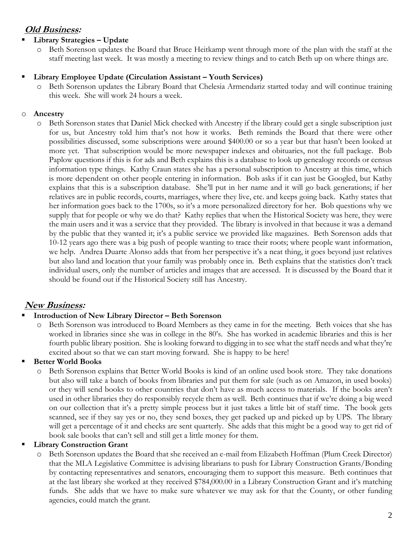### **Old Business:**

#### **Library Strategies – Update**

Beth Sorenson updates the Board that Bruce Heitkamp went through more of the plan with the staff at the staff meeting last week. It was mostly a meeting to review things and to catch Beth up on where things are.

#### **Library Employee Update (Circulation Assistant – Youth Services)**

o Beth Sorenson updates the Library Board that Chelesia Armendariz started today and will continue training this week. She will work 24 hours a week.

#### o **Ancestry**

o Beth Sorenson states that Daniel Mick checked with Ancestry if the library could get a single subscription just for us, but Ancestry told him that's not how it works. Beth reminds the Board that there were other possibilities discussed, some subscriptions were around \$400.00 or so a year but that hasn't been looked at more yet. That subscription would be more newspaper indexes and obituaries, not the full package. Bob Paplow questions if this is for ads and Beth explains this is a database to look up genealogy records or census information type things. Kathy Craun states she has a personal subscription to Ancestry at this time, which is more dependent on other people entering in information. Bob asks if it can just be Googled, but Kathy explains that this is a subscription database. She'll put in her name and it will go back generations; if her relatives are in public records, courts, marriages, where they live, etc. and keeps going back. Kathy states that her information goes back to the 1700s, so it's a more personalized directory for her. Bob questions why we supply that for people or why we do that? Kathy replies that when the Historical Society was here, they were the main users and it was a service that they provided. The library is involved in that because it was a demand by the public that they wanted it; it's a public service we provided like magazines. Beth Sorenson adds that 10-12 years ago there was a big push of people wanting to trace their roots; where people want information, we help. Andrea Duarte Alonso adds that from her perspective it's a neat thing, it goes beyond just relatives but also land and location that your family was probably once in. Beth explains that the statistics don't track individual users, only the number of articles and images that are accessed. It is discussed by the Board that it should be found out if the Historical Society still has Ancestry.

### **New Business:**

#### **Introduction of New Library Director – Beth Sorenson**

o Beth Sorenson was introduced to Board Members as they came in for the meeting. Beth voices that she has worked in libraries since she was in college in the 80's. She has worked in academic libraries and this is her fourth public library position. She is looking forward to digging in to see what the staff needs and what they're excited about so that we can start moving forward. She is happy to be here!

#### **Better World Books**

Beth Sorenson explains that Better World Books is kind of an online used book store. They take donations but also will take a batch of books from libraries and put them for sale (such as on Amazon, in used books) or they will send books to other countries that don't have as much access to materials. If the books aren't used in other libraries they do responsibly recycle them as well. Beth continues that if we're doing a big weed on our collection that it's a pretty simple process but it just takes a little bit of staff time. The book gets scanned, see if they say yes or no, they send boxes, they get packed up and picked up by UPS. The library will get a percentage of it and checks are sent quarterly. She adds that this might be a good way to get rid of book sale books that can't sell and still get a little money for them.

#### **Library Construction Grant**

Beth Sorenson updates the Board that she received an e-mail from Elizabeth Hoffman (Plum Creek Director) that the MLA Legislative Committee is advising librarians to push for Library Construction Grants/Bonding by contacting representatives and senators, encouraging them to support this measure. Beth continues that at the last library she worked at they received \$784,000.00 in a Library Construction Grant and it's matching funds. She adds that we have to make sure whatever we may ask for that the County, or other funding agencies, could match the grant.